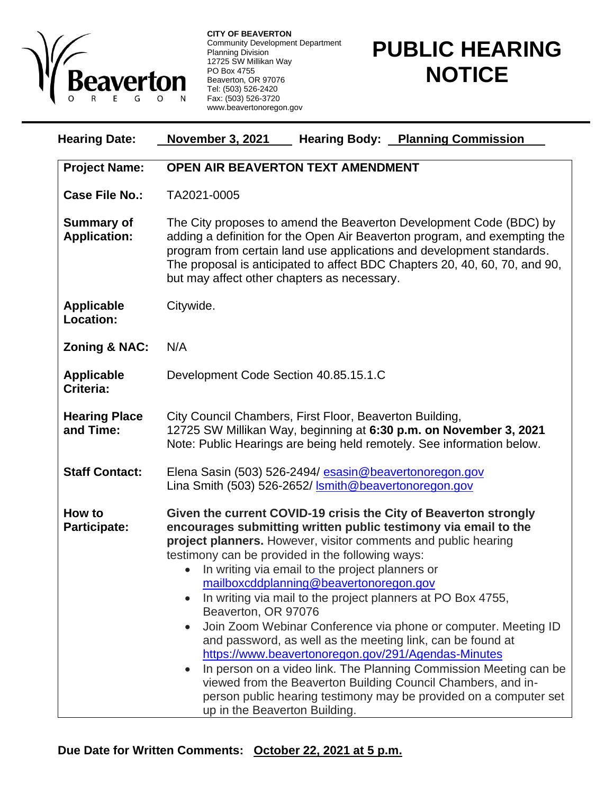

**CITY OF BEAVERTON** Community Development Department Planning Division 12725 SW Millikan Way PO Box 4755 Beaverton, OR 97076 Tel: (503) 526-2420 Fax: (503) 526-3720 www.beavertonoregon.gov

## **PUBLIC HEARING NOTICE**

| <b>Hearing Date:</b>                     | <b>November 3, 2021</b><br><b>Hearing Body: Planning Commission</b>                                                                                                                                                                                                                                                                                                                                                                                                                                                                                                                                                                                                                                                                                                                                                                                                              |
|------------------------------------------|----------------------------------------------------------------------------------------------------------------------------------------------------------------------------------------------------------------------------------------------------------------------------------------------------------------------------------------------------------------------------------------------------------------------------------------------------------------------------------------------------------------------------------------------------------------------------------------------------------------------------------------------------------------------------------------------------------------------------------------------------------------------------------------------------------------------------------------------------------------------------------|
| <b>Project Name:</b>                     | <b>OPEN AIR BEAVERTON TEXT AMENDMENT</b>                                                                                                                                                                                                                                                                                                                                                                                                                                                                                                                                                                                                                                                                                                                                                                                                                                         |
| <b>Case File No.:</b>                    | TA2021-0005                                                                                                                                                                                                                                                                                                                                                                                                                                                                                                                                                                                                                                                                                                                                                                                                                                                                      |
| <b>Summary of</b><br><b>Application:</b> | The City proposes to amend the Beaverton Development Code (BDC) by<br>adding a definition for the Open Air Beaverton program, and exempting the<br>program from certain land use applications and development standards.<br>The proposal is anticipated to affect BDC Chapters 20, 40, 60, 70, and 90,<br>but may affect other chapters as necessary.                                                                                                                                                                                                                                                                                                                                                                                                                                                                                                                            |
| <b>Applicable</b><br><b>Location:</b>    | Citywide.                                                                                                                                                                                                                                                                                                                                                                                                                                                                                                                                                                                                                                                                                                                                                                                                                                                                        |
| <b>Zoning &amp; NAC:</b>                 | N/A                                                                                                                                                                                                                                                                                                                                                                                                                                                                                                                                                                                                                                                                                                                                                                                                                                                                              |
| <b>Applicable</b><br>Criteria:           | Development Code Section 40.85.15.1.C                                                                                                                                                                                                                                                                                                                                                                                                                                                                                                                                                                                                                                                                                                                                                                                                                                            |
| <b>Hearing Place</b><br>and Time:        | City Council Chambers, First Floor, Beaverton Building,<br>12725 SW Millikan Way, beginning at 6:30 p.m. on November 3, 2021<br>Note: Public Hearings are being held remotely. See information below.                                                                                                                                                                                                                                                                                                                                                                                                                                                                                                                                                                                                                                                                            |
| <b>Staff Contact:</b>                    | Elena Sasin (503) 526-2494/ esasin@beavertonoregon.gov<br>Lina Smith (503) 526-2652/ <b>Ismith@beavertonoregon.gov</b>                                                                                                                                                                                                                                                                                                                                                                                                                                                                                                                                                                                                                                                                                                                                                           |
| How to<br><b>Participate:</b>            | Given the current COVID-19 crisis the City of Beaverton strongly<br>encourages submitting written public testimony via email to the<br>project planners. However, visitor comments and public hearing<br>testimony can be provided in the following ways:<br>• In writing via email to the project planners or<br>mailboxcddplanning@beavertonoregon.gov<br>In writing via mail to the project planners at PO Box 4755,<br>Beaverton, OR 97076<br>Join Zoom Webinar Conference via phone or computer. Meeting ID<br>and password, as well as the meeting link, can be found at<br>https://www.beavertonoregon.gov/291/Agendas-Minutes<br>In person on a video link. The Planning Commission Meeting can be<br>viewed from the Beaverton Building Council Chambers, and in-<br>person public hearing testimony may be provided on a computer set<br>up in the Beaverton Building. |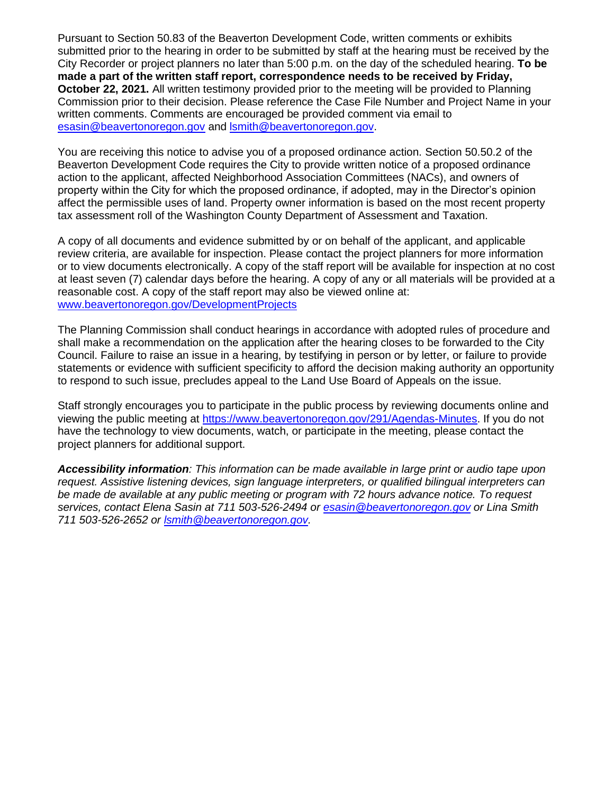Pursuant to Section 50.83 of the Beaverton Development Code, written comments or exhibits submitted prior to the hearing in order to be submitted by staff at the hearing must be received by the City Recorder or project planners no later than 5:00 p.m. on the day of the scheduled hearing. **To be made a part of the written staff report, correspondence needs to be received by Friday, October 22, 2021.** All written testimony provided prior to the meeting will be provided to Planning Commission prior to their decision. Please reference the Case File Number and Project Name in your written comments. Comments are encouraged be provided comment via email to [esasin@beavertonoregon.gov](mailto:esasin@beavertonoregon.gov) and [lsmith@beavertonoregon.gov.](mailto:lsmith@beavertonoregon.gov)

You are receiving this notice to advise you of a proposed ordinance action. Section 50.50.2 of the Beaverton Development Code requires the City to provide written notice of a proposed ordinance action to the applicant, affected Neighborhood Association Committees (NACs), and owners of property within the City for which the proposed ordinance, if adopted, may in the Director's opinion affect the permissible uses of land. Property owner information is based on the most recent property tax assessment roll of the Washington County Department of Assessment and Taxation.

A copy of all documents and evidence submitted by or on behalf of the applicant, and applicable review criteria, are available for inspection. Please contact the project planners for more information or to view documents electronically. A copy of the staff report will be available for inspection at no cost at least seven (7) calendar days before the hearing. A copy of any or all materials will be provided at a reasonable cost. A copy of the staff report may also be viewed online at: [www.beavertonoregon.gov/DevelopmentProjects](http://www.beavertonoregon.gov/DevelopmentProjects)

The Planning Commission shall conduct hearings in accordance with adopted rules of procedure and shall make a recommendation on the application after the hearing closes to be forwarded to the City Council. Failure to raise an issue in a hearing, by testifying in person or by letter, or failure to provide statements or evidence with sufficient specificity to afford the decision making authority an opportunity to respond to such issue, precludes appeal to the Land Use Board of Appeals on the issue.

Staff strongly encourages you to participate in the public process by reviewing documents online and viewing the public meeting at [https://www.beavertonoregon.gov/291/Agendas-Minutes.](https://www.beavertonoregon.gov/291/Agendas-Minutes) If you do not have the technology to view documents, watch, or participate in the meeting, please contact the project planners for additional support.

*Accessibility information: This information can be made available in large print or audio tape upon request. Assistive listening devices, sign language interpreters, or qualified bilingual interpreters can be made de available at any public meeting or program with 72 hours advance notice. To request services, contact Elena Sasin at 711 503-526-2494 or [esasin@beavertonoregon.gov](mailto:esasin@beavertonoregon.gov) or Lina Smith 711 503-526-2652 or [lsmith@beavertonoregon.gov.](mailto:lsmith@beavertonoregon.gov)*